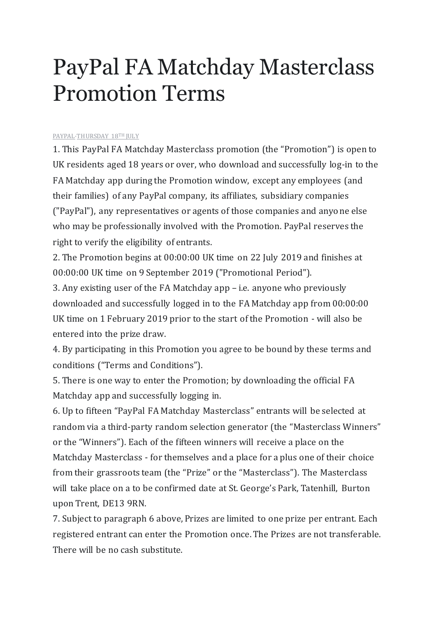## PayPal FA Matchday Masterclass Promotion Terms

[PAYPAL·T](https://www.facebook.com/PayPalUK/)HURSDAY 18TH JULY

1. This PayPal FA Matchday Masterclass promotion (the "Promotion") is open to UK residents aged 18 years or over, who download and successfully log-in to the FA Matchday app during the Promotion window, except any employees (and their families) of any PayPal company, its affiliates, subsidiary companies ("PayPal"), any representatives or agents of those companies and anyone else who may be professionally involved with the Promotion. PayPal reserves the right to verify the eligibility of entrants.

2. The Promotion begins at 00:00:00 UK time on 22 July 2019 and finishes at 00:00:00 UK time on 9 September 2019 ("Promotional Period").

3. Any existing user of the FA Matchday app – i.e. anyone who previously downloaded and successfully logged in to the FA Matchday app from 00:00:00 UK time on 1 February 2019 prior to the start of the Promotion - will also be entered into the prize draw.

4. By participating in this Promotion you agree to be bound by these terms and conditions ("Terms and Conditions").

5. There is one way to enter the Promotion; by downloading the official FA Matchday app and successfully logging in.

6. Up to fifteen "PayPal FA Matchday Masterclass" entrants will be selected at random via a third-party random selection generator (the "Masterclass Winners" or the "Winners"). Each of the fifteen winners will receive a place on the Matchday Masterclass - for themselves and a place for a plus one of their choice from their grassroots team (the "Prize" or the "Masterclass"). The Masterclass will take place on a to be confirmed date at St. George's Park, Tatenhill, Burton upon Trent, DE13 9RN.

7. Subject to paragraph 6 above, Prizes are limited to one prize per entrant. Each registered entrant can enter the Promotion once. The Prizes are not transferable. There will be no cash substitute.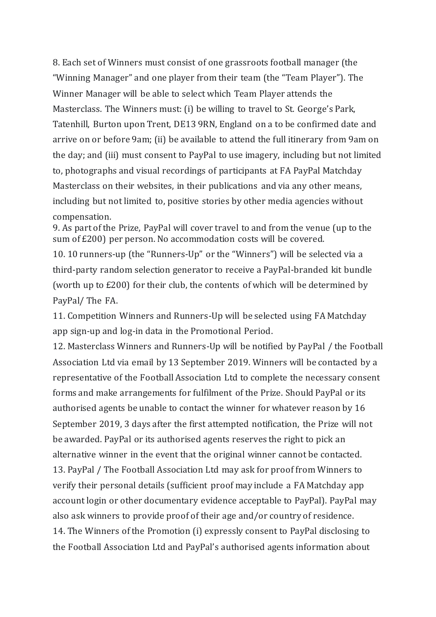8. Each set of Winners must consist of one grassroots football manager (the "Winning Manager" and one player from their team (the "Team Player"). The Winner Manager will be able to select which Team Player attends the Masterclass. The Winners must: (i) be willing to travel to St. George's Park, Tatenhill, Burton upon Trent, DE13 9RN, England on a to be confirmed date and arrive on or before 9am; (ii) be available to attend the full itinerary from 9am on the day; and (iii) must consent to PayPal to use imagery, including but not limited to, photographs and visual recordings of participants at FA PayPal Matchday Masterclass on their websites, in their publications and via any other means, including but not limited to, positive stories by other media agencies without compensation.

9. As part of the Prize, PayPal will cover travel to and from the venue (up to the sum of £200) per person. No accommodation costs will be covered.

10. 10 runners-up (the "Runners-Up" or the "Winners") will be selected via a third-party random selection generator to receive a PayPal-branded kit bundle (worth up to £200) for their club, the contents of which will be determined by PayPal/ The FA.

11. Competition Winners and Runners-Up will be selected using FA Matchday app sign-up and log-in data in the Promotional Period.

12. Masterclass Winners and Runners-Up will be notified by PayPal / the Football Association Ltd via email by 13 September 2019. Winners will be contacted by a representative of the Football Association Ltd to complete the necessary consent forms and make arrangements for fulfilment of the Prize. Should PayPal or its authorised agents be unable to contact the winner for whatever reason by 16 September 2019, 3 days after the first attempted notification, the Prize will not be awarded. PayPal or its authorised agents reserves the right to pick an alternative winner in the event that the original winner cannot be contacted. 13. PayPal / The Football Association Ltd may ask for proof from Winners to verify their personal details (sufficient proof may include a FA Matchday app account login or other documentary evidence acceptable to PayPal). PayPal may also ask winners to provide proof of their age and/or country of residence. 14. The Winners of the Promotion (i) expressly consent to PayPal disclosing to the Football Association Ltd and PayPal's authorised agents information about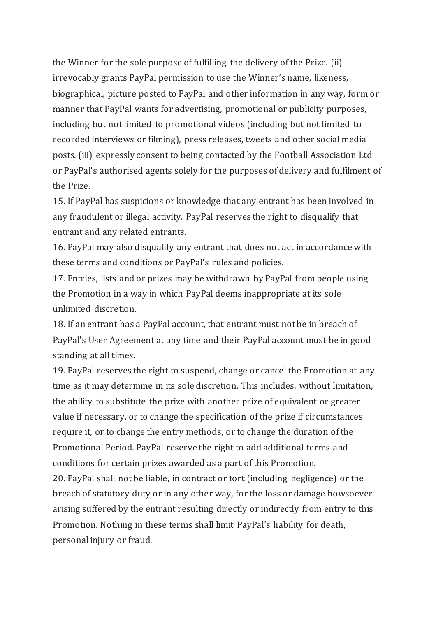the Winner for the sole purpose of fulfilling the delivery of the Prize. (ii) irrevocably grants PayPal permission to use the Winner's name, likeness, biographical, picture posted to PayPal and other information in any way, form or manner that PayPal wants for advertising, promotional or publicity purposes, including but not limited to promotional videos (including but not limited to recorded interviews or filming), press releases, tweets and other social media posts. (iii) expressly consent to being contacted by the Football Association Ltd or PayPal's authorised agents solely for the purposes of delivery and fulfilment of the Prize.

15. If PayPal has suspicions or knowledge that any entrant has been involved in any fraudulent or illegal activity, PayPal reserves the right to disqualify that entrant and any related entrants.

16. PayPal may also disqualify any entrant that does not act in accordance with these terms and conditions or PayPal's rules and policies.

17. Entries, lists and or prizes may be withdrawn by PayPal from people using the Promotion in a way in which PayPal deems inappropriate at its sole unlimited discretion.

18. If an entrant has a PayPal account, that entrant must not be in breach of PayPal's User Agreement at any time and their PayPal account must be in good standing at all times.

19. PayPal reserves the right to suspend, change or cancel the Promotion at any time as it may determine in its sole discretion. This includes, without limitation, the ability to substitute the prize with another prize of equivalent or greater value if necessary, or to change the specification of the prize if circumstances require it, or to change the entry methods, or to change the duration of the Promotional Period. PayPal reserve the right to add additional terms and conditions for certain prizes awarded as a part of this Promotion.

20. PayPal shall not be liable, in contract or tort (including negligence) or the breach of statutory duty or in any other way, for the loss or damage howsoever arising suffered by the entrant resulting directly or indirectly from entry to this Promotion. Nothing in these terms shall limit PayPal's liability for death, personal injury or fraud.